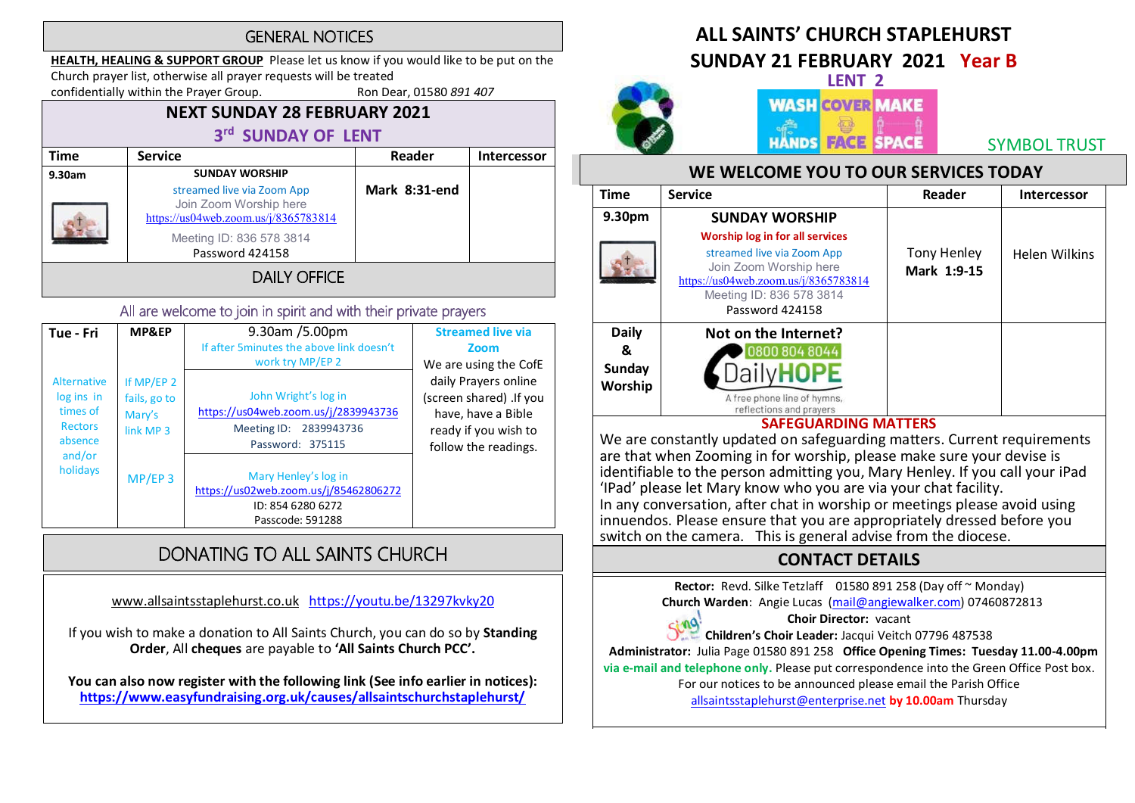### **GENERAL NOTICES**

HEALTH, HEALING & SUPPORT GROUP Please let us know if you would like to be put on the Church prayer list, otherwise all prayer requests will be treated

confidentially within the Prayer Group. Ron Dear, 01580 891 407

## NEXT SUNDAY 28 FEBRUARY 2021 3rd SUNDAY OF LENT

| Time                | <b>Service</b>                                                                               | Reader        | Intercessor |  |
|---------------------|----------------------------------------------------------------------------------------------|---------------|-------------|--|
| 9.30am              | <b>SUNDAY WORSHIP</b>                                                                        |               |             |  |
|                     | streamed live via Zoom App<br>Join Zoom Worship here<br>https://us04web.zoom.us/j/8365783814 | Mark 8:31-end |             |  |
|                     | Meeting ID: 836 578 3814<br>Password 424158                                                  |               |             |  |
| <b>DAILY OFFICE</b> |                                                                                              |               |             |  |

### All are welcome to join in spirit and with their private prayers

| Tue - Fri                                                                                | <b>MP&amp;EP</b>                                    | 9.30am /5.00pm<br>If after 5 minutes the above link doesn't<br>work try MP/EP 2                               | <b>Streamed live via</b><br>Zoom<br>We are using the CofE                                                              |
|------------------------------------------------------------------------------------------|-----------------------------------------------------|---------------------------------------------------------------------------------------------------------------|------------------------------------------------------------------------------------------------------------------------|
| Alternative<br>log ins in<br>times of<br><b>Rectors</b><br>absence<br>and/or<br>holidays | If $MP/EP$ 2<br>fails, go to<br>Mary's<br>link MP 3 | John Wright's log in<br>https://us04web.zoom.us/j/2839943736<br>Meeting ID:<br>2839943736<br>Password: 375115 | daily Prayers online<br>(screen shared) . If you<br>have, have a Bible<br>ready if you wish to<br>follow the readings. |
|                                                                                          | $MP/EP$ 3                                           | Mary Henley's log in<br>https://us02web.zoom.us/j/85462806272<br>ID: 854 6280 6272<br>Passcode: 591288        |                                                                                                                        |

# DONATING TO ALL SAINTS CHURCH

www.allsaintsstaplehurst.co.uk https://youtu.be/13297kvky20

If you wish to make a donation to All Saints Church, you can do so by Standing Order, All cheques are payable to 'All Saints Church PCC'.

You can also now register with the following link (See info earlier in notices): https://www.easyfundraising.org.uk/causes/allsaintschurchstaplehurst/

# ALL SAINTS' CHURCH STAPI FHURST

SUNDAY 21 FEBRUARY 2021 Year B



# LENT 2 **WASH COVER MAKE HANDS FACE SPACE**

SYMBOL TRUST

### WE WELCOME YOU TO OUR SERVICES TODAY

| <b>Time</b>  | <b>Service</b>                                                                                                                                                                        | Reader                            | <b>Intercessor</b>   |
|--------------|---------------------------------------------------------------------------------------------------------------------------------------------------------------------------------------|-----------------------------------|----------------------|
| 9.30pm       | <b>SUNDAY WORSHIP</b>                                                                                                                                                                 |                                   |                      |
|              | <b>Worship log in for all services</b><br>streamed live via Zoom App<br>Join Zoom Worship here<br>https://us04web.zoom.us/j/8365783814<br>Meeting ID: 836 578 3814<br>Password 424158 | <b>Tony Henley</b><br>Mark 1:9-15 | <b>Helen Wilkins</b> |
| <b>Daily</b> | Not on the Internet?                                                                                                                                                                  |                                   |                      |
| &            | 0800 804 8044                                                                                                                                                                         |                                   |                      |
| Sunday       |                                                                                                                                                                                       |                                   |                      |
| Worship      | A free phone line of hymns,<br>reflections and prayers                                                                                                                                |                                   |                      |

### SAFEGUARDING MATTERS

We are constantly updated on safeguarding matters. Current requirements are that when Zooming in for worship, please make sure your devise is identifiable to the person admitting you, Mary Henley. If you call your iPad<br>'IPad' please let Mary know who you are via your chat facility. In any conversation, after chat in worship or meetings please avoid using innuendos. Please ensure that you are appropriately dressed before you switch on the camera. This is general advise from the diocese.

## CONTACT DETAILS

Rector: Revd. Silke Tetzlaff 01580 891 258 (Day off ~ Monday)

Church Warden: Angie Lucas (mail@angiewalker.com) 07460872813

### Choir Director: vacant

Children's Choir Leader: Jacqui Veitch 07796 487538

Administrator: Julia Page 01580 891 258 Office Opening Times: Tuesday 11.00-4.00pm

via e-mail and telephone only. Please put correspondence into the Green Office Post box.

For our notices to be announced please email the Parish Office

allsaintsstaplehurst@enterprise.net by 10.00am Thursday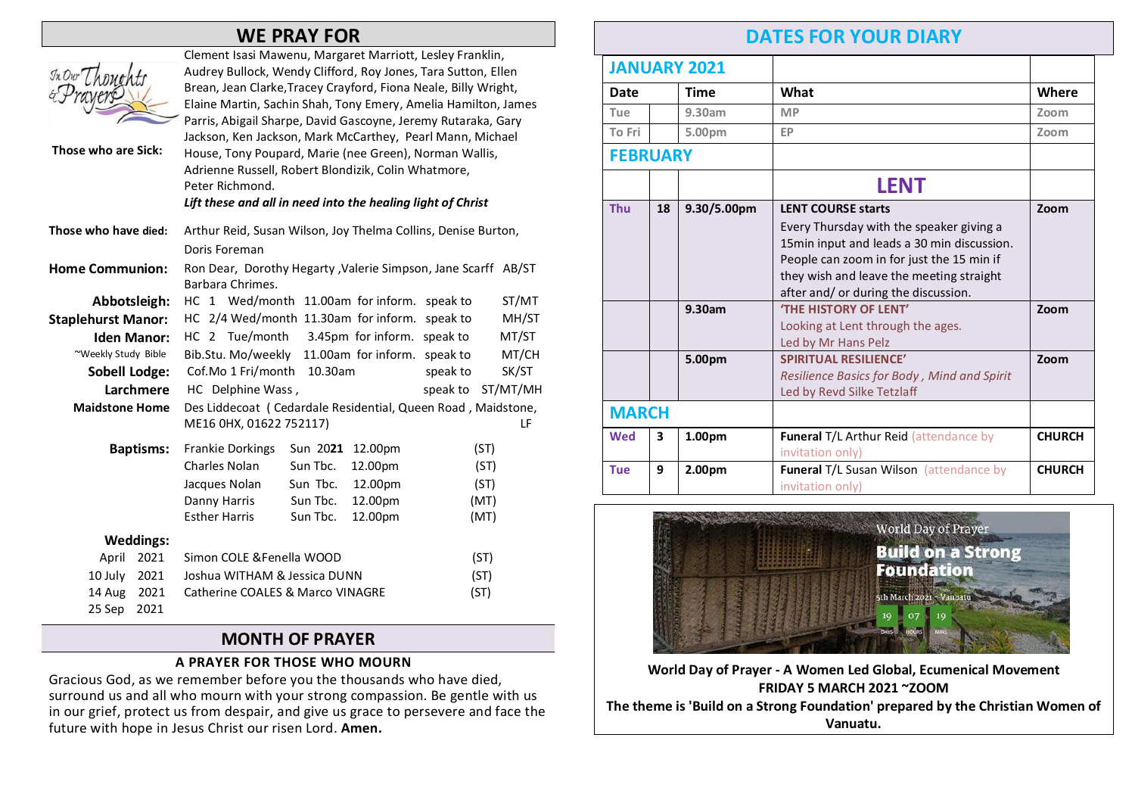## WE PRAY FOR

| Those who are Sick:       |                  | Clement Isasi Mawenu, Margaret Marriott, Lesley Franklin,<br>Audrey Bullock, Wendy Clifford, Roy Jones, Tara Sutton, Ellen<br>Brean, Jean Clarke, Tracey Crayford, Fiona Neale, Billy Wright,<br>Elaine Martin, Sachin Shah, Tony Emery, Amelia Hamilton, James<br>Parris, Abigail Sharpe, David Gascoyne, Jeremy Rutaraka, Gary<br>Jackson, Ken Jackson, Mark McCarthey, Pearl Mann, Michael<br>House, Tony Poupard, Marie (nee Green), Norman Wallis,<br>Adrienne Russell, Robert Blondizik, Colin Whatmore,<br>Peter Richmond.<br>Lift these and all in need into the healing light of Christ |          |                     |          |          |
|---------------------------|------------------|--------------------------------------------------------------------------------------------------------------------------------------------------------------------------------------------------------------------------------------------------------------------------------------------------------------------------------------------------------------------------------------------------------------------------------------------------------------------------------------------------------------------------------------------------------------------------------------------------|----------|---------------------|----------|----------|
| Those who have died:      |                  | Arthur Reid, Susan Wilson, Joy Thelma Collins, Denise Burton,                                                                                                                                                                                                                                                                                                                                                                                                                                                                                                                                    |          |                     |          |          |
|                           |                  | Doris Foreman                                                                                                                                                                                                                                                                                                                                                                                                                                                                                                                                                                                    |          |                     |          |          |
| <b>Home Communion:</b>    |                  | Ron Dear, Dorothy Hegarty, Valerie Simpson, Jane Scarff AB/ST<br>Barbara Chrimes.                                                                                                                                                                                                                                                                                                                                                                                                                                                                                                                |          |                     |          |          |
| Abbotsleigh:              |                  | HC 1 Wed/month 11.00am for inform.                                                                                                                                                                                                                                                                                                                                                                                                                                                                                                                                                               |          |                     | speak to | ST/MT    |
| <b>Staplehurst Manor:</b> |                  | HC 2/4 Wed/month 11.30am for inform.                                                                                                                                                                                                                                                                                                                                                                                                                                                                                                                                                             |          |                     | speak to | MH/ST    |
| <b>Iden Manor:</b>        |                  | HC 2 Tue/month 3.45pm for inform. speak to                                                                                                                                                                                                                                                                                                                                                                                                                                                                                                                                                       |          |                     |          | MT/ST    |
| ~Weekly Study Bible       |                  | Bib.Stu. Mo/weekly                                                                                                                                                                                                                                                                                                                                                                                                                                                                                                                                                                               |          | 11.00am for inform. | speak to | MT/CH    |
| <b>Sobell Lodge:</b>      |                  | Cof.Mo 1 Fri/month<br>10.30am                                                                                                                                                                                                                                                                                                                                                                                                                                                                                                                                                                    |          | speak to            | SK/ST    |          |
| Larchmere                 |                  | HC Delphine Wass,                                                                                                                                                                                                                                                                                                                                                                                                                                                                                                                                                                                |          |                     | speak to | ST/MT/MH |
| <b>Maidstone Home</b>     |                  | Des Liddecoat (Cedardale Residential, Queen Road, Maidstone,                                                                                                                                                                                                                                                                                                                                                                                                                                                                                                                                     |          |                     |          |          |
|                           |                  | ME16 0HX, 01622 752117)                                                                                                                                                                                                                                                                                                                                                                                                                                                                                                                                                                          |          |                     |          | LF       |
|                           | <b>Baptisms:</b> | <b>Frankie Dorkings</b>                                                                                                                                                                                                                                                                                                                                                                                                                                                                                                                                                                          | Sun 2021 | 12.00pm             | (ST)     |          |
|                           |                  | Charles Nolan                                                                                                                                                                                                                                                                                                                                                                                                                                                                                                                                                                                    | Sun Tbc. | 12.00pm             | (ST)     |          |
|                           |                  | Jacques Nolan                                                                                                                                                                                                                                                                                                                                                                                                                                                                                                                                                                                    | Sun Tbc. | 12.00pm             | (ST)     |          |
|                           |                  | Danny Harris                                                                                                                                                                                                                                                                                                                                                                                                                                                                                                                                                                                     | Sun Tbc. | 12.00pm             | (MT)     |          |
|                           |                  | <b>Esther Harris</b>                                                                                                                                                                                                                                                                                                                                                                                                                                                                                                                                                                             | Sun Tbc. | 12.00pm             | (MT)     |          |
|                           | <b>Weddings:</b> |                                                                                                                                                                                                                                                                                                                                                                                                                                                                                                                                                                                                  |          |                     |          |          |
| April                     | 2021             | Simon COLE & Fenella WOOD                                                                                                                                                                                                                                                                                                                                                                                                                                                                                                                                                                        |          |                     | (ST)     |          |
| 10 July                   | 2021             | Joshua WITHAM & Jessica DUNN<br>(ST)                                                                                                                                                                                                                                                                                                                                                                                                                                                                                                                                                             |          |                     |          |          |
| 14 Aug                    | 2021             | <b>Catherine COALES &amp; Marco VINAGRE</b>                                                                                                                                                                                                                                                                                                                                                                                                                                                                                                                                                      |          |                     | (ST)     |          |
| 25 Sep                    | 2021             |                                                                                                                                                                                                                                                                                                                                                                                                                                                                                                                                                                                                  |          |                     |          |          |

### MONTH OF PRAYER

### A PRAYER FOR THOSE WHO MOURN

Gracious God, as we remember before you the thousands who have died, surround us and all who mourn with your strong compassion. Be gentle with us in our grief, protect us from despair, and give us grace to persevere and face the future with hope in Jesus Christ our risen Lord. Amen.

# DATES FOR YOUR DIARY

|                 |    | <b>JANUARY 2021</b>     |                                                                                                                                                                                                                                                      |               |
|-----------------|----|-------------------------|------------------------------------------------------------------------------------------------------------------------------------------------------------------------------------------------------------------------------------------------------|---------------|
| Date            |    | <b>Time</b>             | What                                                                                                                                                                                                                                                 | Where         |
| Tue             |    | 9.30am                  | <b>MP</b>                                                                                                                                                                                                                                            | Zoom          |
| To Fri          |    | 5.00pm                  | EP                                                                                                                                                                                                                                                   | Zoom          |
| <b>FEBRUARY</b> |    |                         |                                                                                                                                                                                                                                                      |               |
|                 |    |                         | <b>LENT</b>                                                                                                                                                                                                                                          |               |
| <b>Thu</b>      | 18 | 9.30/5.00 <sub>pm</sub> | <b>LENT COURSE starts</b><br>Every Thursday with the speaker giving a<br>15min input and leads a 30 min discussion.<br>People can zoom in for just the 15 min if<br>they wish and leave the meeting straight<br>after and/ or during the discussion. | Zoom          |
|                 |    | 9.30am                  | <b>'THE HISTORY OF LENT'</b><br>Looking at Lent through the ages.<br>Led by Mr Hans Pelz                                                                                                                                                             | Zoom          |
|                 |    | 5.00pm                  | <b>SPIRITUAL RESILIENCE'</b><br>Resilience Basics for Body, Mind and Spirit<br>Led by Revd Silke Tetzlaff                                                                                                                                            | Zoom          |
| <b>MARCH</b>    |    |                         |                                                                                                                                                                                                                                                      |               |
| <b>Wed</b>      | 3  | 1.00pm                  | Funeral T/L Arthur Reid (attendance by<br>invitation only)                                                                                                                                                                                           | <b>CHURCH</b> |
| <b>Tue</b>      | 9  | 2.00pm                  | Funeral T/L Susan Wilson (attendance by<br>invitation only)                                                                                                                                                                                          | <b>CHURCH</b> |



### World Day of Prayer - A Women Led Global, Ecumenical Movement FRIDAY 5 MARCH 2021 ~ZOOM The theme is 'Build on a Strong Foundation' prepared by the Christian Women of Vanuatu.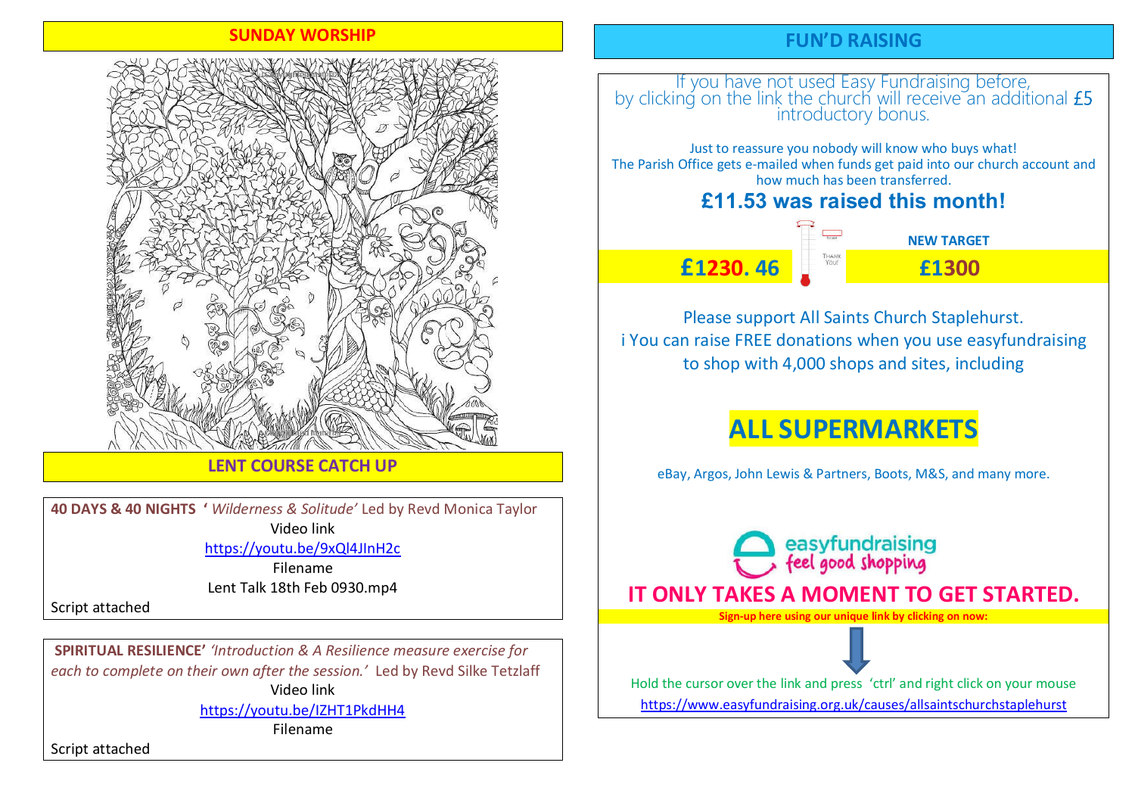### SUNDAY WORSHIP



### LENT COURSE CATCH UP

40 DAYS & 40 NIGHTS ' Wilderness & Solitude' Led by Revd Monica Taylor Video link

https://youtu.be/9xQl4JInH2c

Filename Lent Talk 18th Feb 0930.mp4

Script attached

SPIRITUAL RESILIENCE' 'Introduction & A Resilience measure exercise for each to complete on their own after the session.' Led by Revd Silke Tetzlaff Video link

https://youtu.be/IZHT1PkdHH4

Filename

Script attached

# FUN'D RAISING

# If you have not used Easy Fundraising before, by clicking on the link the church will receive an additional introductory bonus.

Just to reassure you nobody will know who buys what! The Parish Office gets e-mailed when funds get paid into our church account and how much has been transferred.

# **£11.53 was raised this month!**

£1230. 46 £1300

 $NFWTARGFT$ 

Please support All Saints Church Staplehurst. i You can raise FREE donations when you use easyfundraising to shop with 4,000 shops and sites, including

# ALL SUPERMARKETS

eBay, Argos, John Lewis & Partners, Boots, M&S, and many more.

easyfundraising<br>feel good shopping IT ONLY TAKES A MOMENT TO GET STARTED. Sign-up here using our unique link by clicking on now:

Hold the cursor over the link and press 'ctrl' and right click on your mouse https://www.easyfundraising.org.uk/causes/allsaintschurchstaplehurst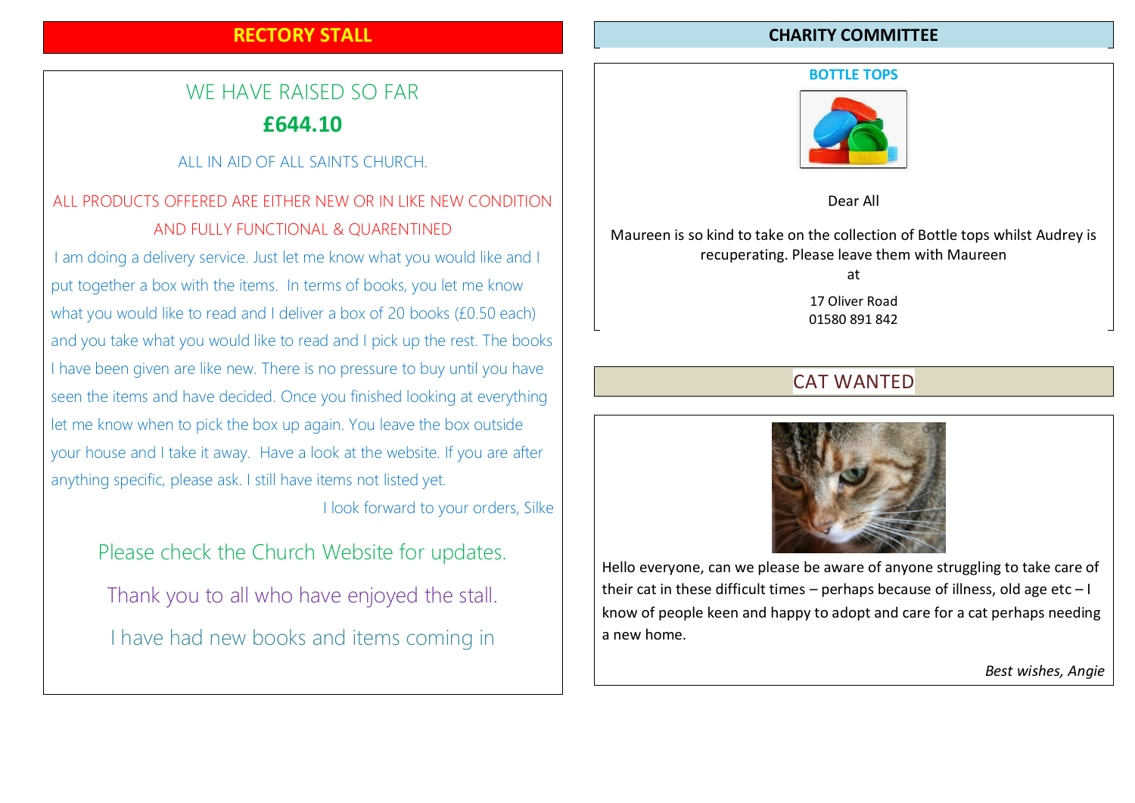## RECTORY STALL

# WE HAVE RAISED SO FAR £644.10

## ALL IN AID OF ALL SAINTS CHURCH.

# ALL PRODUCTS OFFERED ARE EITHER NEW OR IN LIKE NEW CONDITION AND FULLY FUNCTIONAL & QUARENTINED

I am doing a delivery service. Just let me know what you would like and I put together a box with the items. In terms of books, you let me know what you would like to read and I deliver a box of 20 books (£0.50 each) and you take what you would like to read and I pick up the rest. The books I have been given are like new. There is no pressure to buy until you have seen the items and have decided. Once you finished looking at everything let me know when to pick the box up again. You leave the box outside your house and I take it away. Have a look at the website. If you are after anything specific, please ask. I still have items not listed yet.

I look forward to your orders, Silke

Please check the Church Website for updates. Thank you to all who have enjoyed the stall. I have had new books and items coming in

### CHARITY COMMITTEE

#### BOTTLE TOPS



Dear All

Maureen is so kind to take on the collection of Bottle tops whilst Audrey is recuperating. Please leave them with Maureen

at

17 Oliver Road 01580 891 842

# CAT WANTED



Hello everyone, can we please be aware of anyone struggling to take care of their cat in these difficult times – perhaps because of illness, old age  $etc - I$ know of people keen and happy to adopt and care for a cat perhaps needing a new home.

Best wishes, Angie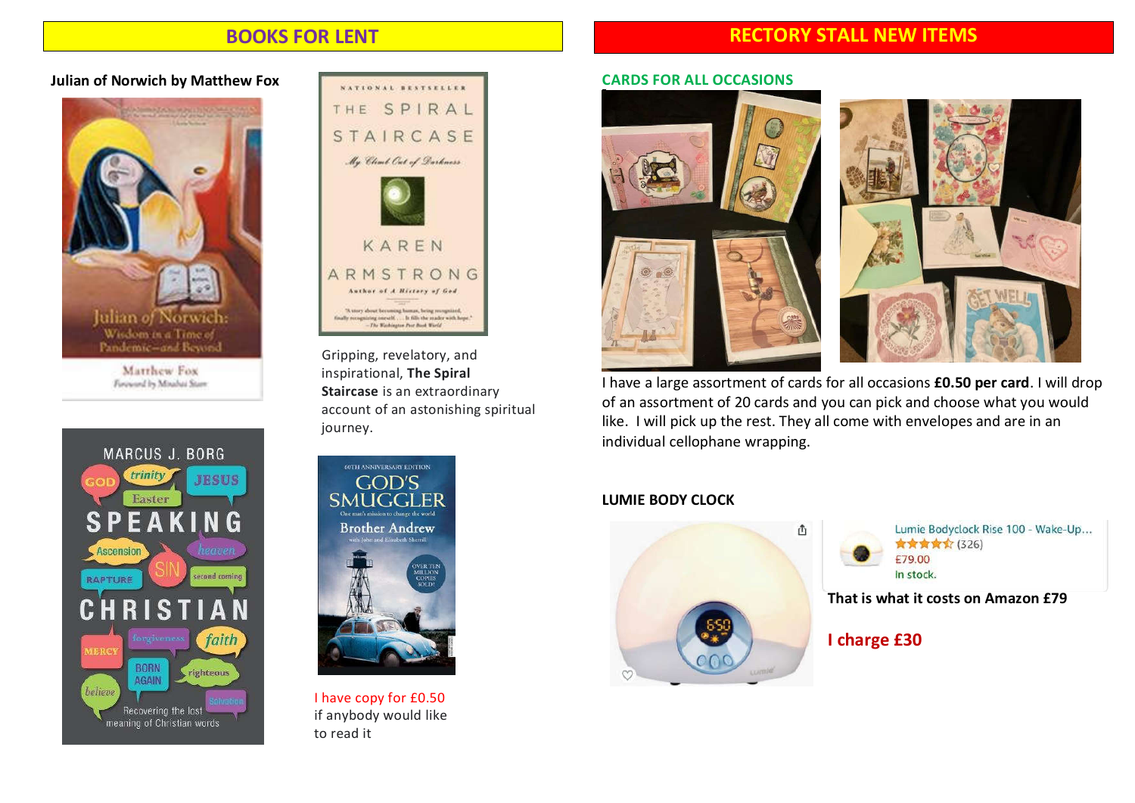### BOOKS FOR LENT

## RECTORY STALL NEW ITEMS

### Julian of Norwich by Matthew Fox







**Matthew Fox**<br> **inspirational, The Spiral**<br> **Continued by Maghai Sizer** Staircase is an extraordinary account of an astonishing spiritual journey.



if anybody would like

#### CARDS FOR ALL OCCASIONS



I have a large assortment of cards for all occasions £0.50 per card. I will drop of an assortment of 20 cards and you can pick and choose what you would like. I will pick up the rest. They all come with envelopes and are in an individual cellophane wrapping.

### LUMIE BODY CLOCK



Lumie Bodyclock Rise 100 - Wake-Up... ★★★★☆ (326) £79.00 In stock.

That is what it costs on Amazon £79

I charge £30